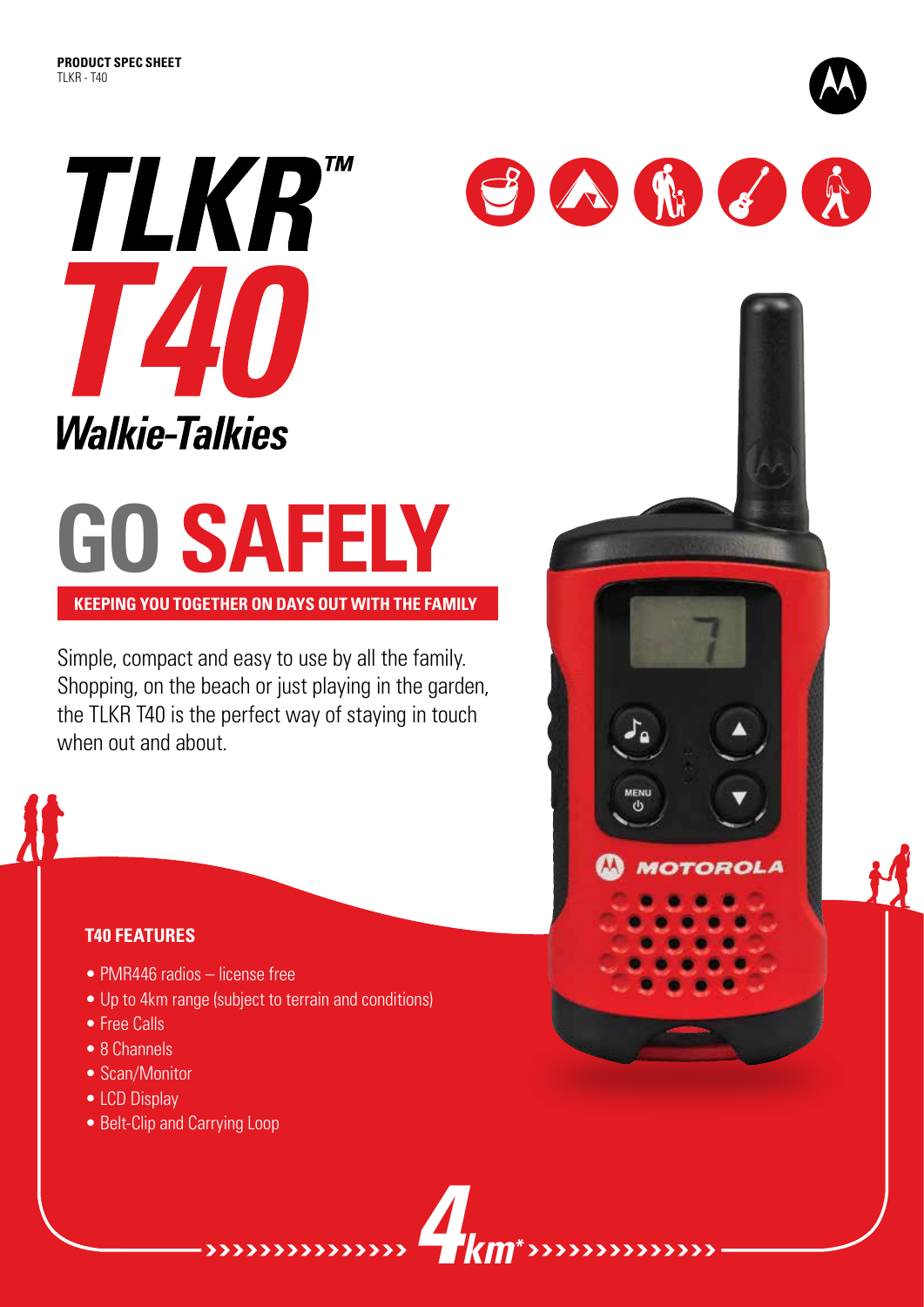

# **GO SAFELY**

**Keeping you together on days out with the family**

Simple, compact and easy to use by all the family. Shopping, on the beach or just playing in the garden, the TLKR T40 is the perfect way of staying in touch when out and about.

## **T40 FEATURES**

- PMR446 radios license free
- Up to 4km range (subject to terrain and conditions)
- Free Calls
- 8 Channels
- Scan/Monitor
- LCD Display
- Belt-Clip and Carrying Loop



SARER

**MOTOROL**